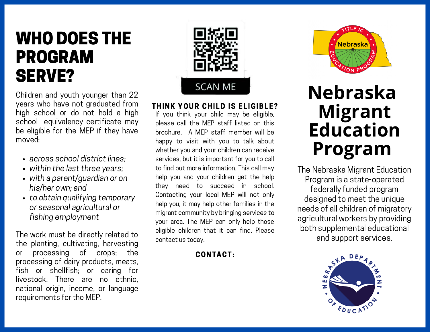# WHO DOES THE PROGRAM SERVE?

Children and youth younger than 22 years who have not graduated from high school or do not hold a high school equivalency certificate may be eligible for the MEP if they have moved:

- across school district lines:
- within the last three years;
- with a parent/guardian or on his/her own; and
- to obtain qualifying temporary or seasonal agricultural or fishing employment

The work must be directly related to the planting, cultivating, harvesting or processing of crops; the processing of dairy products, meats, fish or shellfish; or caring for livestock. There are no ethnic, national origin, income, or language requirements for the MEP.



#### THINK YOUR CHILD IS ELIGIBLE?

If you think your child may be eligible, please call the MEP staff listed on this brochure. A MEP staff member will be happy to visit with you to talk about whether you and your children can receive services, but it is important for you to call to find out more information. This call may help you and your children get the help they need to succeed in school. Contacting your local MEP will not only help you, it may help other families in the migrant community by bringing services to your area. The MEP can only help those eligible children that it can find. Please contact us today.

### CONTACT:



# **Nebraska Migrant Education Program**

The Nebraska Migrant Education Program is a state-operated federally funded program designed to meet the unique needs of all children of migratory agricultural workers by providing both supplemental educational and support services.